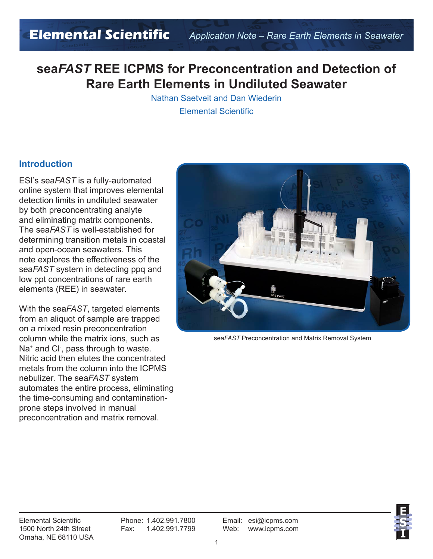## **sea***FAST* **REE ICPMS for Preconcentration and Detection of Rare Earth Elements in Undiluted Seawater**

Nathan Saetveit and Dan Wiederin Elemental Scientific

#### **Introduction**

ESI's sea*FAST* is a fully-automated online system that improves elemental detection limits in undiluted seawater by both preconcentrating analyte and eliminating matrix components. The sea*FAST* is well-established for determining transition metals in coastal and open-ocean seawaters. This note explores the effectiveness of the sea*FAST* system in detecting ppq and low ppt concentrations of rare earth elements (REE) in seawater.

With the sea*FAST*, targeted elements from an aliquot of sample are trapped on a mixed resin preconcentration column while the matrix ions, such as Na<sup>+</sup> and Cl<sup>-</sup>, pass through to waste. Nitric acid then elutes the concentrated metals from the column into the ICPMS nebulizer. The sea*FAST* system automates the entire process, eliminating the time-consuming and contaminationprone steps involved in manual preconcentration and matrix removal.



sea*FAST* Preconcentration and Matrix Removal System

Elemental Scientific Phone: 1.402.991.7800 Email: esi@icpms.com 1500 North 24th Street Fax: 1.402.991.7799 Web: www.icpms.com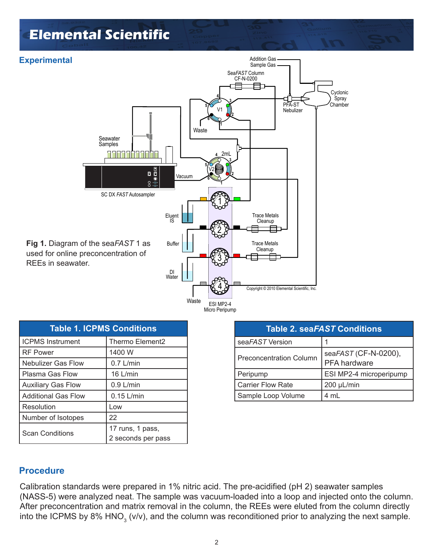# **Elemental Scientific**



| ESI MPZ-4      |
|----------------|
| Micro Peripump |
|                |

| <b>Table 1. ICPMS Conditions</b> |                                        |  |
|----------------------------------|----------------------------------------|--|
| <b>ICPMS Instrument</b>          | Thermo Element2                        |  |
| <b>RF Power</b>                  | 1400 W                                 |  |
| <b>Nebulizer Gas Flow</b>        | $0.7$ L/min                            |  |
| Plasma Gas Flow                  | 16 L/min                               |  |
| <b>Auxiliary Gas Flow</b>        | $0.9$ L/min                            |  |
| <b>Additional Gas Flow</b>       | $0.15$ L/min                           |  |
| Resolution                       | Low                                    |  |
| Number of Isotopes               | 22                                     |  |
| <b>Scan Conditions</b>           | 17 runs, 1 pass,<br>2 seconds per pass |  |

| <b>Table 2. seaFAST Conditions</b> |                                             |  |
|------------------------------------|---------------------------------------------|--|
| seaFAST Version                    |                                             |  |
| <b>Preconcentration Column</b>     | seaFAST (CF-N-0200),<br><b>PFA</b> hardware |  |
| Peripump                           | ESI MP2-4 microperipump                     |  |
| <b>Carrier Flow Rate</b>           | 200 µL/min                                  |  |
| Sample Loop Volume                 | 4 mL                                        |  |

#### **Procedure**

Calibration standards were prepared in 1% nitric acid. The pre-acidified (pH 2) seawater samples (NASS-5) were analyzed neat. The sample was vacuum-loaded into a loop and injected onto the column. After preconcentration and matrix removal in the column, the REEs were eluted from the column directly into the ICPMS by 8% HNO<sub>3</sub> (v/v), and the column was reconditioned prior to analyzing the next sample.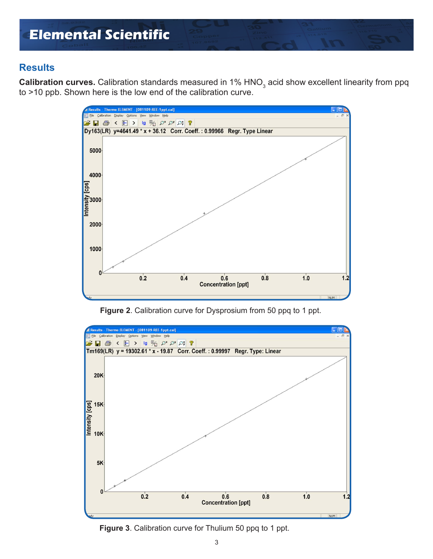### **Results**

**Calibration curves.** Calibration standards measured in 1% HNO<sub>3</sub> acid show excellent linearity from ppq to >10 ppb. Shown here is the low end of the calibration curve.



**Figure 2**. Calibration curve for Dysprosium from 50 ppq to 1 ppt.



**Figure 3**. Calibration curve for Thulium 50 ppq to 1 ppt.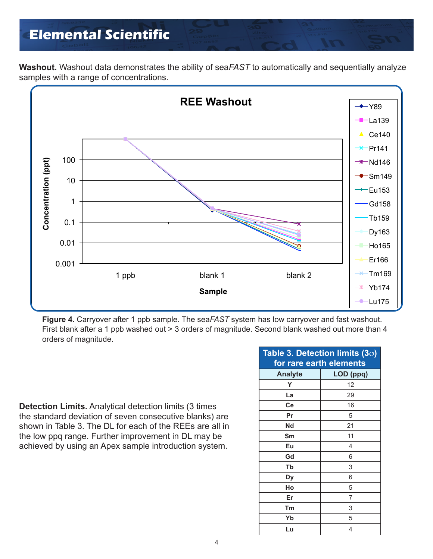## **Elemental Scientific**

**Washout.** Washout data demonstrates the ability of sea*FAST* to automatically and sequentially analyze samples with a range of concentrations.



**Figure 4**. Carryover after 1 ppb sample. The sea*FAST* system has low carryover and fast washout. First blank after a 1 ppb washed out > 3 orders of magnitude. Second blank washed out more than 4 orders of magnitude.

**Detection Limits.** Analytical detection limits (3 times the standard deviation of seven consecutive blanks) are shown in Table 3. The DL for each of the REEs are all in the low ppq range. Further improvement in DL may be achieved by using an Apex sample introduction system.

| Table 3. Detection limits (3 $\sigma$ ) |           |  |
|-----------------------------------------|-----------|--|
| for rare earth elements                 |           |  |
| <b>Analyte</b>                          | LOD (ppq) |  |
| Υ                                       | 12        |  |
| La                                      | 29        |  |
| Ce                                      | 16        |  |
| Pr                                      | 5         |  |
| Nd                                      | 21        |  |
| Sm                                      | 11        |  |
| Eu                                      | 4         |  |
| Gd                                      | 6         |  |
| Tb                                      | 3         |  |
| Dy                                      | 6         |  |
| Ho                                      | 5         |  |
| Er                                      | 7         |  |
| Tm                                      | 3         |  |
| Yb                                      | 5         |  |
| Lu                                      | 4         |  |